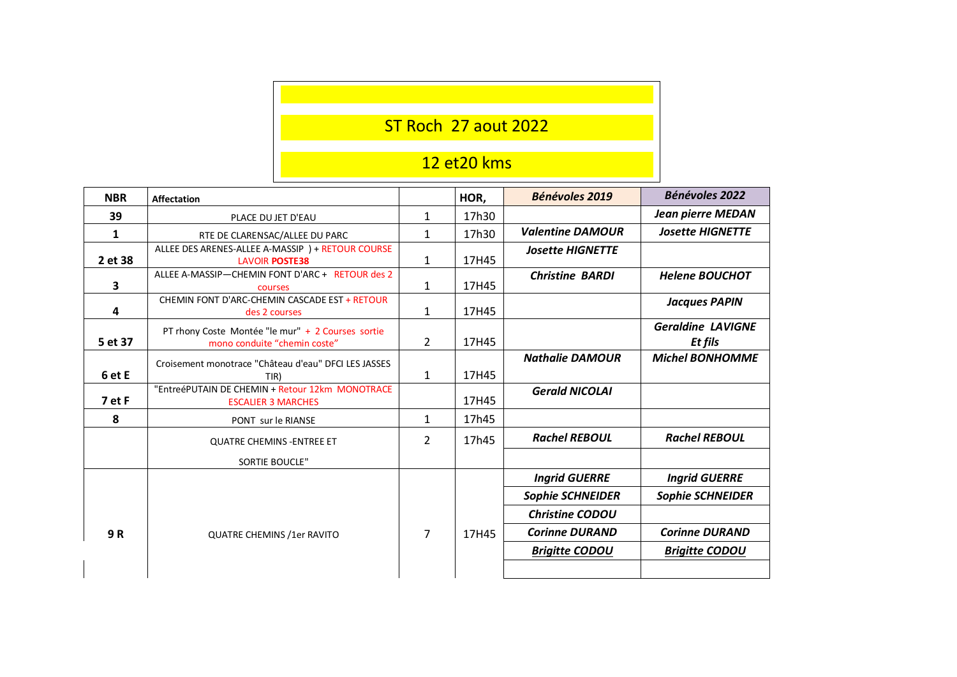## ST Roch 27 aout 2022

## 12 et20 kms

| <b>NBR</b>   | Affectation                                                                       |                | HOR,  | Bénévoles 2019          | Bénévoles 2022                      |
|--------------|-----------------------------------------------------------------------------------|----------------|-------|-------------------------|-------------------------------------|
| 39           | PLACE DU JET D'EAU                                                                | 1              | 17h30 |                         | <b>Jean pierre MEDAN</b>            |
| $\mathbf{1}$ | RTE DE CLARENSAC/ALLEE DU PARC                                                    | 1              | 17h30 | <b>Valentine DAMOUR</b> | <b>Josette HIGNETTE</b>             |
| 2 et 38      | ALLEE DES ARENES-ALLEE A-MASSIP ) + RETOUR COURSE<br><b>LAVOIR POSTE38</b>        | $\mathbf{1}$   | 17H45 | <b>Josette HIGNETTE</b> |                                     |
| 3            | ALLEE A-MASSIP-CHEMIN FONT D'ARC + RETOUR des 2<br><b>courses</b>                 | $\mathbf{1}$   | 17H45 | <b>Christine BARDI</b>  | <b>Helene BOUCHOT</b>               |
| 4            | CHEMIN FONT D'ARC-CHEMIN CASCADE EST + RETOUR<br>des 2 courses                    | $\mathbf{1}$   | 17H45 |                         | <b>Jacques PAPIN</b>                |
| 5 et 37      | PT rhony Coste Montée "le mur" + 2 Courses sortie<br>mono conduite "chemin coste" | $\overline{2}$ | 17H45 |                         | <b>Geraldine LAVIGNE</b><br>Et fils |
| 6 et E       | Croisement monotrace "Château d'eau" DFCI LES JASSES<br>TIR)                      | $\mathbf{1}$   | 17H45 | <b>Nathalie DAMOUR</b>  | <b>Michel BONHOMME</b>              |
| 7 et F       | "EntreéPUTAIN DE CHEMIN + Retour 12km MONOTRACE<br><b>ESCALIER 3 MARCHES</b>      |                | 17H45 | <b>Gerald NICOLAI</b>   |                                     |
| 8            | PONT sur le RIANSE                                                                | $\mathbf{1}$   | 17h45 |                         |                                     |
|              | <b>QUATRE CHEMINS - ENTREE ET</b>                                                 | $\overline{2}$ | 17h45 | <b>Rachel REBOUL</b>    | <b>Rachel REBOUL</b>                |
|              | SORTIE BOUCLE"                                                                    |                |       |                         |                                     |
|              |                                                                                   |                |       | <b>Ingrid GUERRE</b>    | <b>Ingrid GUERRE</b>                |
|              |                                                                                   |                |       | <b>Sophie SCHNEIDER</b> | <b>Sophie SCHNEIDER</b>             |
|              |                                                                                   |                |       | <b>Christine CODOU</b>  |                                     |
| 9R           | <b>QUATRE CHEMINS /1er RAVITO</b>                                                 | $\overline{7}$ | 17H45 | <b>Corinne DURAND</b>   | <b>Corinne DURAND</b>               |
|              |                                                                                   |                |       | <b>Brigitte CODOU</b>   | <b>Brigitte CODOU</b>               |
|              |                                                                                   |                |       |                         |                                     |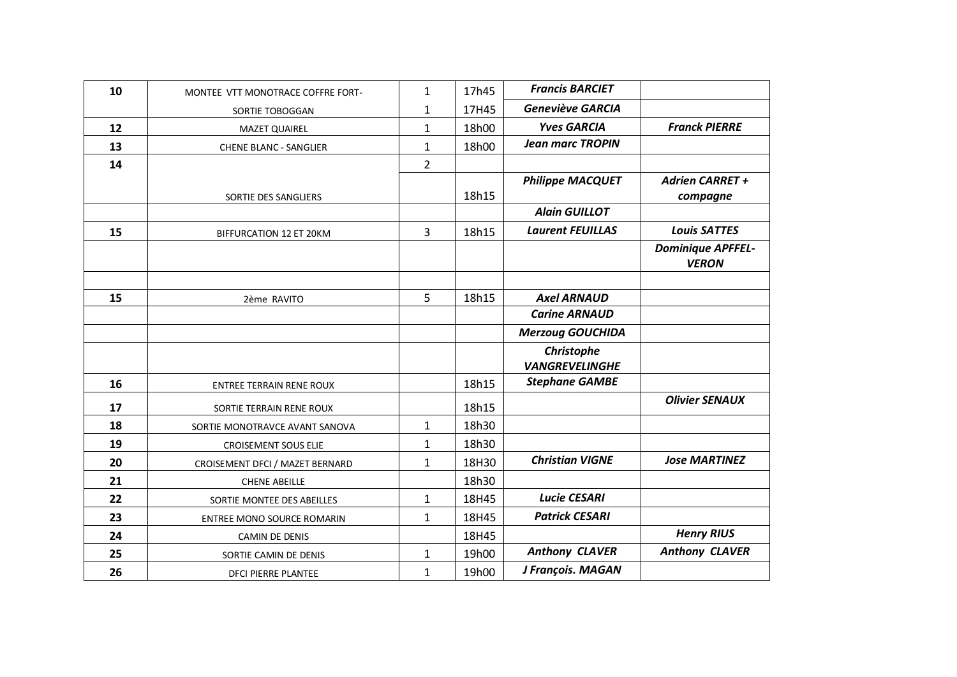| 10 | MONTEE VTT MONOTRACE COFFRE FORT- | 1              | 17h45 | <b>Francis BARCIET</b>              |                                          |
|----|-----------------------------------|----------------|-------|-------------------------------------|------------------------------------------|
|    | SORTIE TOBOGGAN                   | $\mathbf{1}$   | 17H45 | Geneviève GARCIA                    |                                          |
| 12 | <b>MAZET QUAIREL</b>              | $\mathbf{1}$   | 18h00 | <b>Yves GARCIA</b>                  | <b>Franck PIERRE</b>                     |
| 13 | <b>CHENE BLANC - SANGLIER</b>     | 1              | 18h00 | <b>Jean marc TROPIN</b>             |                                          |
| 14 |                                   | $\overline{2}$ |       |                                     |                                          |
|    | SORTIE DES SANGLIERS              |                | 18h15 | <b>Philippe MACQUET</b>             | <b>Adrien CARRET +</b><br>compagne       |
|    |                                   |                |       | <b>Alain GUILLOT</b>                |                                          |
| 15 | <b>BIFFURCATION 12 ET 20KM</b>    | 3              | 18h15 | <b>Laurent FEUILLAS</b>             | <b>Louis SATTES</b>                      |
|    |                                   |                |       |                                     | <b>Dominique APFFEL-</b><br><b>VERON</b> |
| 15 | 2ème RAVITO                       | 5              | 18h15 | <b>Axel ARNAUD</b>                  |                                          |
|    |                                   |                |       | <b>Carine ARNAUD</b>                |                                          |
|    |                                   |                |       | <b>Merzoug GOUCHIDA</b>             |                                          |
|    |                                   |                |       | Christophe<br><b>VANGREVELINGHE</b> |                                          |
| 16 | <b>ENTREE TERRAIN RENE ROUX</b>   |                | 18h15 | <b>Stephane GAMBE</b>               |                                          |
| 17 | SORTIE TERRAIN RENE ROUX          |                | 18h15 |                                     | <b>Olivier SENAUX</b>                    |
| 18 | SORTIE MONOTRAVCE AVANT SANOVA    | 1              | 18h30 |                                     |                                          |
| 19 | <b>CROISEMENT SOUS ELIE</b>       | $\mathbf{1}$   | 18h30 |                                     |                                          |
| 20 | CROISEMENT DFCI / MAZET BERNARD   | $\mathbf{1}$   | 18H30 | <b>Christian VIGNE</b>              | <b>Jose MARTINEZ</b>                     |
| 21 | <b>CHENE ABEILLE</b>              |                | 18h30 |                                     |                                          |
| 22 | SORTIE MONTEE DES ABEILLES        | 1              | 18H45 | <b>Lucie CESARI</b>                 |                                          |
| 23 | <b>ENTREE MONO SOURCE ROMARIN</b> | 1              | 18H45 | <b>Patrick CESARI</b>               |                                          |
| 24 | CAMIN DE DENIS                    |                | 18H45 |                                     | <b>Henry RIUS</b>                        |
| 25 | SORTIE CAMIN DE DENIS             | $\mathbf{1}$   | 19h00 | <b>Anthony CLAVER</b>               | <b>Anthony CLAVER</b>                    |
| 26 | <b>DFCI PIERRE PLANTEE</b>        | $\mathbf{1}$   | 19h00 | J François. MAGAN                   |                                          |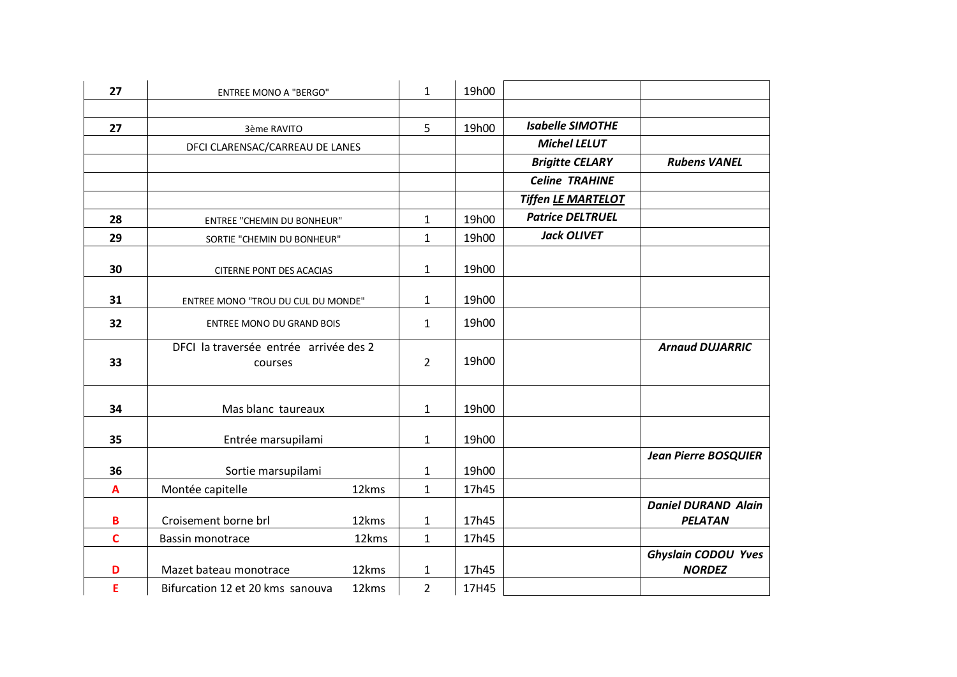| 27 | <b>ENTREE MONO A "BERGO"</b>                      |       | 1              | 19h00 |                           |                                              |
|----|---------------------------------------------------|-------|----------------|-------|---------------------------|----------------------------------------------|
|    |                                                   |       |                |       |                           |                                              |
| 27 | 3ème RAVITO                                       |       | 5              | 19h00 | <b>Isabelle SIMOTHE</b>   |                                              |
|    | DFCI CLARENSAC/CARREAU DE LANES                   |       |                |       | <b>Michel LELUT</b>       |                                              |
|    |                                                   |       |                |       | <b>Brigitte CELARY</b>    | <b>Rubens VANEL</b>                          |
|    |                                                   |       |                |       | <b>Celine TRAHINE</b>     |                                              |
|    |                                                   |       |                |       | <b>Tiffen LE MARTELOT</b> |                                              |
| 28 | <b>ENTREE "CHEMIN DU BONHEUR"</b>                 |       | $\mathbf{1}$   | 19h00 | <b>Patrice DELTRUEL</b>   |                                              |
| 29 | SORTIE "CHEMIN DU BONHEUR"                        |       | $\mathbf{1}$   | 19h00 | <b>Jack OLIVET</b>        |                                              |
| 30 | CITERNE PONT DES ACACIAS                          |       | $\mathbf{1}$   | 19h00 |                           |                                              |
| 31 | ENTREE MONO "TROU DU CUL DU MONDE"                |       | $\mathbf{1}$   | 19h00 |                           |                                              |
| 32 | <b>ENTREE MONO DU GRAND BOIS</b>                  |       | 1              | 19h00 |                           |                                              |
| 33 | DFCI la traversée entrée arrivée des 2<br>courses |       | $\overline{2}$ | 19h00 |                           | <b>Arnaud DUJARRIC</b>                       |
| 34 | Mas blanc taureaux                                |       | 1              | 19h00 |                           |                                              |
| 35 | Entrée marsupilami                                |       | $\mathbf{1}$   | 19h00 |                           |                                              |
| 36 | Sortie marsupilami                                |       | $\mathbf{1}$   | 19h00 |                           | <b>Jean Pierre BOSQUIER</b>                  |
| A  | Montée capitelle                                  | 12kms | $\mathbf{1}$   | 17h45 |                           |                                              |
| B  | Croisement borne brl                              | 12kms | 1              | 17h45 |                           | <b>Daniel DURAND Alain</b><br><b>PELATAN</b> |
| C  | <b>Bassin monotrace</b>                           | 12kms | $\mathbf{1}$   | 17h45 |                           |                                              |
| D  | Mazet bateau monotrace                            | 12kms | 1              | 17h45 |                           | <b>Ghyslain CODOU Yves</b><br><b>NORDEZ</b>  |
| E  | Bifurcation 12 et 20 kms sanouva                  | 12kms | $\overline{2}$ | 17H45 |                           |                                              |